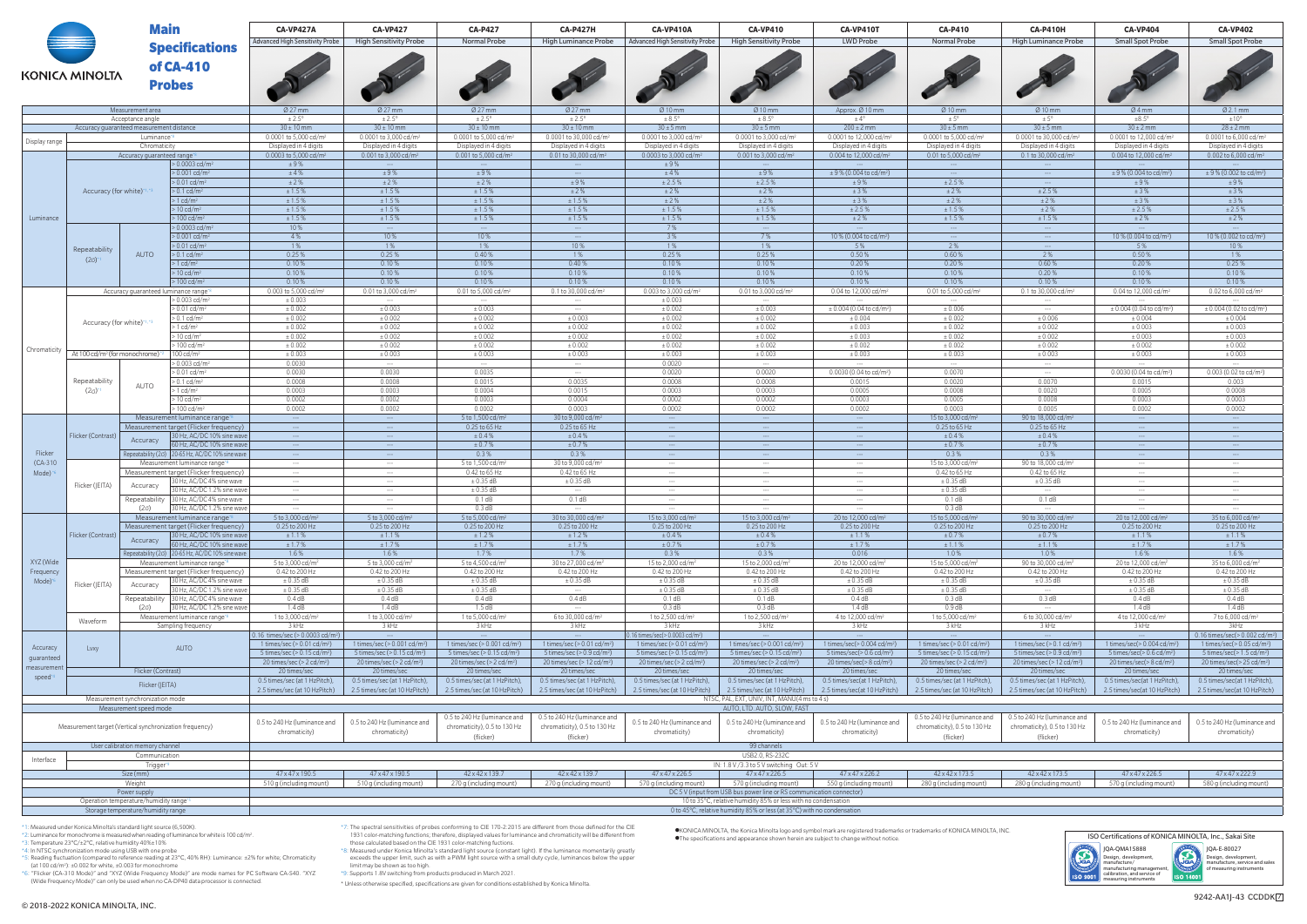| <b>Main</b><br>of CA-410<br><b>KONICA MINOLTA</b>                                                           |                                             |                                                                                         | CA-VP427A                                                                                                                                 | <b>CA-VP427</b>                                | <b>CA-P427</b>                                     | <b>CA-P427H</b>                                       | CA-VP410A                                                                                      | <b>CA-VP410</b>                                                             | CA-VP410T                                        | <b>CA-P410</b>                                                | <b>CA-P410H</b>                                                     | <b>CA-VP404</b>                                           | <b>CA-VP402</b>                                                                         |
|-------------------------------------------------------------------------------------------------------------|---------------------------------------------|-----------------------------------------------------------------------------------------|-------------------------------------------------------------------------------------------------------------------------------------------|------------------------------------------------|----------------------------------------------------|-------------------------------------------------------|------------------------------------------------------------------------------------------------|-----------------------------------------------------------------------------|--------------------------------------------------|---------------------------------------------------------------|---------------------------------------------------------------------|-----------------------------------------------------------|-----------------------------------------------------------------------------------------|
|                                                                                                             |                                             | <b>Specifications</b>                                                                   | <b>Advanced High Sensitivity Probe</b>                                                                                                    | <b>High Sensitivity Probe</b>                  | <b>Normal Probe</b>                                | <b>High Luminance Probe</b>                           | <b>Advanced High Sensitivity Probe</b>                                                         | <b>High Sensitivity Probe</b>                                               | <b>LWD Probe</b>                                 | <b>Normal Probe</b>                                           | <b>High Luminance Probe</b>                                         | <b>Small Spot Probe</b>                                   | <b>Small Spot Probe</b>                                                                 |
|                                                                                                             |                                             |                                                                                         |                                                                                                                                           |                                                |                                                    |                                                       |                                                                                                |                                                                             |                                                  |                                                               |                                                                     |                                                           |                                                                                         |
|                                                                                                             |                                             |                                                                                         |                                                                                                                                           |                                                |                                                    |                                                       |                                                                                                |                                                                             |                                                  |                                                               |                                                                     |                                                           |                                                                                         |
|                                                                                                             |                                             | <b>Probes</b>                                                                           |                                                                                                                                           |                                                |                                                    |                                                       |                                                                                                |                                                                             |                                                  |                                                               |                                                                     |                                                           |                                                                                         |
|                                                                                                             |                                             |                                                                                         |                                                                                                                                           |                                                |                                                    |                                                       |                                                                                                |                                                                             |                                                  |                                                               |                                                                     |                                                           |                                                                                         |
|                                                                                                             |                                             | Measurement area                                                                        | $Ø$ 27 mm                                                                                                                                 | $\varnothing$ 27 mm                            | $Ø$ 27 mm                                          | $\varnothing$ 27 mm                                   | $\varnothing$ 10 mm                                                                            | $\varnothing$ 10 mm                                                         | Approx. Ø 10 mm                                  | Ø10mm                                                         | $\varnothing$ 10 mm                                                 | Ø4mm                                                      | $Ø$ 2.1 mm                                                                              |
|                                                                                                             |                                             | Acceptance angle<br>Accuracy guaranteed measurement distance                            | $\pm 2.5^{\circ}$<br>$30 \pm 10$ mm                                                                                                       | $± 2.5^\circ$<br>$30 \pm 10$ mm                | $± 2.5^{\circ}$<br>$30 \pm 10$ mm                  | $± 2.5^{\circ}$<br>$30 \pm 10$ mm                     | $\pm 8.5^{\circ}$<br>$30 \pm 5$ mm                                                             | $\pm 8.5^{\circ}$<br>$30 \pm 5$ mm                                          | $\pm 4^{\circ}$<br>$200 \pm 2$ mm                | $\pm 5^{\circ}$<br>$30 \pm 5$ mm                              | $\pm$ 5°<br>$30 \pm 5$ mm                                           | ±8.5°<br>$30 \pm 2$ mm                                    | ±10°<br>$28 \pm 2$ mm                                                                   |
| Display range                                                                                               | Luminance* <sup>8</sup>                     |                                                                                         | 0.0001 to 5,000 cd/m <sup>2</sup>                                                                                                         | 0.0001 to 3,000 cd/m <sup>2</sup>              | 0.0001 to 5,000 cd/m <sup>2</sup>                  | 0.0001 to 30,000 cd/m <sup>2</sup>                    | 0.0001 to 3.000 cd/m <sup>2</sup>                                                              | 0.0001 to 3,000 cd/m <sup>2</sup>                                           | 0.0001 to 12,000 cd/m <sup>2</sup>               | 0.0001 to 5.000 cd/m <sup>2</sup>                             | 0.0001 to 30,000 cd/m <sup>2</sup>                                  | 0.0001 to 12,000 cd/m <sup>2</sup>                        | 0.0001 to 6.000 cd/m <sup>2</sup>                                                       |
|                                                                                                             |                                             | Chromaticity                                                                            | Displayed in 4 digits                                                                                                                     | Displayed in 4 digits                          | Displayed in 4 digits                              | Displayed in 4 digits                                 | Displayed in 4 digits<br>0.0003 to 3.000 cd/m <sup>2</sup>                                     | Displayed in 4 digits                                                       | Displayed in 4 digits                            | Displayed in 4 digits                                         | Displayed in 4 digits                                               | Displayed in 4 digits                                     | Displayed in 4 digits                                                                   |
| Luminance                                                                                                   |                                             | Accuracy guaranteed range <sup>®</sup><br>$> 0.0003$ cd/m <sup>2</sup>                  | 0.0003 to 5,000 cd/m <sup>2</sup><br>±9%                                                                                                  | 0.001 to 3,000 cd/m <sup>2</sup>               | 0.001 to 5,000 cd/m <sup>2</sup><br>$1 - 1$        | 0.01 to 30,000 cd/m <sup>2</sup><br>$\sim$            | ±9%                                                                                            | 0.001 to 3,000 cd/m <sup>2</sup><br>$---$                                   | 0.004 to 12,000 cd/m <sup>2</sup>                | 0.01 to 5,000 cd/m <sup>2</sup><br>$\sim$ $\sim$              | 0.1 to 30,000 cd/m <sup>2</sup><br>$-$                              | 0.004 to 12,000 cd/m <sup>2</sup>                         | 0.002 to 6,000 cd/m <sup>2</sup>                                                        |
|                                                                                                             |                                             | $> 0.001$ cd/m <sup>2</sup>                                                             | ±4%                                                                                                                                       | ±9%                                            | ±9%                                                | $\sim$                                                | ±4%                                                                                            | ±9%                                                                         | $\pm$ 9 % (0.004 to cd/m <sup>2</sup> )          | $\sim$ $\sim$                                                 | $\sim$ $\sim$                                                       | $\pm$ 9 % (0.004 to cd/m <sup>2</sup> )                   | $\pm$ 9 % (0.002 to cd/m <sup>2</sup> )                                                 |
|                                                                                                             | Accuracy (for white)*1.*                    | $> 0.01$ cd/m <sup>2</sup><br>$> 0.1$ cd/m <sup>2</sup>                                 | ±2%<br>± 1.5%                                                                                                                             | ±2%<br>± 1.5%                                  | ±2%<br>± 1.5%                                      | ±9%<br>±2%                                            | ± 2.5%<br>±2%                                                                                  | ± 2.5%<br>±2%                                                               | ±9%<br>±3%                                       | ± 2.5%<br>±2%                                                 | $\sim$<br>± 2.5%                                                    | ±9%<br>±3%                                                | ±9%<br>±3%                                                                              |
|                                                                                                             |                                             | $> 1$ cd/m <sup>2</sup>                                                                 | ± 1.5%                                                                                                                                    | ± 1.5%                                         | ± 1.5%                                             | ± 1.5%                                                | ±2%                                                                                            | ±2%                                                                         | ±3%                                              | ±2%                                                           | ±2%                                                                 | ±3%                                                       | ±3%                                                                                     |
|                                                                                                             |                                             | $> 10 \text{ cd/m}^2$<br>$> 100 \text{ cd/m}^2$                                         | ± 1.5%<br>±1.5%                                                                                                                           | ± 1.5%<br>± 1.5%                               | ± 1.5%<br>± 1.5%                                   | ± 1.5%<br>±1.5%                                       | ± 1.5%<br>± 1.5%                                                                               | ± 1.5%<br>± 1.5%                                                            | ± 2.5%<br>±2%                                    | ±1.5%<br>±1.5%                                                | ±2%<br>±1.5%                                                        | ± 2.5%<br>±2%                                             | ± 2.5%<br>±2%                                                                           |
|                                                                                                             |                                             | > 0.0003 cd/m <sup>2</sup>                                                              | 10%                                                                                                                                       | $\sim$ $\sim$                                  | $\sim$                                             | $\sim$                                                | 7%                                                                                             | $\sim$                                                                      |                                                  | $\sim$ $\sim$                                                 | $\hspace{0.1em} \ldots \hspace{0.1em}$                              |                                                           |                                                                                         |
|                                                                                                             |                                             | $> 0.001$ cd/m <sup>2</sup><br>$> 0.01$ cd/m <sup>2</sup>                               | 4%<br>1%                                                                                                                                  | 10 %<br>1 %                                    | 10%<br>1%                                          | $\sim$<br>10%                                         | 3%<br>1 %                                                                                      | 7%<br>1 %                                                                   | 10 % (0.004 to cd/m <sup>2</sup> )<br>5%         | $\sim 100$<br>2%                                              | $-$                                                                 | 10 % (0.004 to cd/m <sup>2</sup> )<br>5%                  | 10 % (0.002 to cd/m <sup>2</sup> )<br>10 %                                              |
|                                                                                                             | Repeatability                               | <b>AUTO</b><br>$> 0.1$ cd/m <sup>2</sup>                                                | 0.25%                                                                                                                                     | 0.25%                                          | 0.40%                                              | 1 %                                                   | 0.25%                                                                                          | 0.25%                                                                       | 0.50%                                            | 0.60%                                                         | $\hspace{0.1mm}-\hspace{0.1mm}-\hspace{0.1mm}-\hspace{0.1mm}$<br>2% | 0.50%                                                     | 1 %                                                                                     |
|                                                                                                             | $(2\sigma)$                                 | $> 1$ cd/m <sup>2</sup>                                                                 | 0.10%                                                                                                                                     | 0.10%                                          | 0.10%                                              | 0.40%                                                 | 0.10%                                                                                          | 0.10%                                                                       | 0.20%                                            | 0.20%                                                         | 0.60%                                                               | 0.20%                                                     | 0.25%                                                                                   |
|                                                                                                             |                                             | $> 10 \text{ cd/m}^2$<br>$> 100 \text{ cd/m}^2$                                         | 0.10%<br>0.10%                                                                                                                            | 0.10%<br>0.10%                                 | 0.10%<br>0.10%                                     | 0.10%<br>0.10%                                        | 0.10%<br>0.10%                                                                                 | 0.10%<br>0.10%                                                              | 0.10%<br>0.10%                                   | 0.10%<br>0.10%                                                | 0.20%<br>0.10%                                                      | 0.10%<br>0.10%                                            | 0.10%<br>0.10%                                                                          |
|                                                                                                             |                                             | Accuracy quaranteed luminance range*                                                    | 0.003 to 5,000 cd/m <sup>2</sup>                                                                                                          | 0.01 to 3,000 cd/m <sup>2</sup>                | 0.01 to 5,000 cd/m <sup>2</sup>                    | 0.1 to 30,000 cd/m <sup>2</sup>                       | 0.003 to 3,000 cd/m <sup>2</sup>                                                               | 0.01 to 3,000 cd/m <sup>2</sup>                                             | 0.04 to 12,000 cd/m <sup>2</sup>                 | 0.01 to 5,000 cd/m                                            | 0.1 to 30,000 cd/m <sup>2</sup>                                     | 0.04 to 12,000 cd/m <sup>2</sup>                          | 0.02 to 6,000 cd/m <sup>2</sup>                                                         |
|                                                                                                             |                                             | $> 0.003$ cd/m <sup>2</sup><br>$> 0.01$ cd/m <sup>2</sup>                               | ± 0.003<br>± 0.002                                                                                                                        | ± 0.003                                        | $\sim$ $\sim$ $\sim$<br>± 0.003                    | $\sim$ $\sim$ $\sim$<br>$\sim$                        | ± 0.003<br>$\pm 0.002$                                                                         | $\sim$ $\sim$<br>± 0.003                                                    | $\pm$ 0.004 (0.04 to cd/m <sup>2</sup> )         | $\sim$ $\sim$ $\sim$<br>± 0.006                               | $\sim$ $\sim$ $\sim$<br>$\sim$                                      | $\pm 0.004$ (0.04 to cd/m <sup>2</sup> )                  | $\pm$ 0.004 (0.02 to cd/m <sup>2</sup> )                                                |
|                                                                                                             | Accuracy (for white)*1.*                    | $> 0.1$ cd/m <sup>2</sup>                                                               | ± 0.002                                                                                                                                   | ± 0.002                                        | ± 0.002                                            | ± 0.003                                               | ± 0.002                                                                                        | ± 0.002                                                                     | ± 0.004                                          | ± 0.002                                                       | ± 0.006                                                             | ± 0.004                                                   | ± 0.004                                                                                 |
|                                                                                                             |                                             | > 1 cd/m <sup>2</sup>                                                                   | $\pm 0.002$                                                                                                                               | ± 0.002                                        | ± 0.002                                            | ± 0.002                                               | ± 0.002                                                                                        | ± 0.002                                                                     | ± 0.003                                          | ± 0.002                                                       | ± 0.002                                                             | ± 0.003                                                   | ± 0.003                                                                                 |
|                                                                                                             |                                             | $> 10 \text{ cd/m}^2$<br>> 100 cd/m <sup>2</sup>                                        | ± 0.002<br>$\pm 0.002$                                                                                                                    | ± 0.002<br>± 0.002                             | ± 0.002<br>± 0.002                                 | ± 0.002<br>± 0.002                                    | ± 0.002<br>± 0.002                                                                             | ± 0.002<br>± 0.002                                                          | ± 0.003<br>± 0.002                               | ± 0.002<br>± 0.002                                            | ± 0.002<br>± 0.002                                                  | ± 0.003<br>± 0.002                                        | ± 0.003<br>$\pm 0.002$                                                                  |
| Chromaticity                                                                                                | At 100 cd/m <sup>2</sup> (for monochrome) * | 100 cd/m <sup>2</sup>                                                                   | ± 0.003                                                                                                                                   | ± 0.003                                        | ± 0.003                                            | ± 0.003                                               | ± 0.003                                                                                        | ± 0.003                                                                     | ± 0.003                                          | ± 0.003                                                       | ± 0.003                                                             | ± 0.003                                                   | ± 0.003                                                                                 |
|                                                                                                             |                                             | $> 0.003$ cd/m <sup>2</sup><br>$> 0.01$ cd/m <sup>2</sup>                               | 0.0030<br>0.0030                                                                                                                          | $\sim$ $\sim$<br>0.0030                        | $\sim$ $\sim$ $\sim$<br>0.0035                     | $\sim$ $\sim$<br>$\sim$ $\sim$                        | 0.0020<br>0.0020                                                                               | 1.11<br>0.0020                                                              | $0.0030(0.04 \text{ to } \text{cd/m}^2)$         | $\sim$ $\sim$ $\sim$<br>0.0070                                | $\sim$ $\sim$<br>$\sim$                                             | $\sim$ $\sim$<br>$0.0030(0.04 \text{ to } \text{cd/m}^2)$ | $\sim$ $\sim$ $\sim$<br>0.003 (0.02 to cd/m <sup>2</sup>                                |
|                                                                                                             | Repeatability                               | $> 0.1$ cd/m <sup>2</sup><br><b>AUTO</b>                                                | 0.0008                                                                                                                                    | 0.0008                                         | 0.0015                                             | 0.0035                                                | 0.0008                                                                                         | 0.0008                                                                      | 0.0015                                           | 0.0020                                                        | 0.0070                                                              | 0.0015                                                    | 0.003                                                                                   |
|                                                                                                             | (2 <sub>0</sub> )                           | $>1$ cd/m <sup>2</sup><br>$> 10 \text{ cd/m}^2$                                         | 0.0003<br>0.0002                                                                                                                          | 0.0003<br>0.0002                               | 0.0004<br>0.0003                                   | 0.0015<br>0.0004                                      | 0.0003<br>0.0002                                                                               | 0.0003<br>0.0002                                                            | 0.0005<br>0.0003                                 | 0.0008<br>0.0005                                              | 0.0020<br>0.0008                                                    | 0.0005<br>0.0003                                          | 0.0008<br>0.0003                                                                        |
|                                                                                                             |                                             | > 100 cd/m <sup>2</sup>                                                                 | 0.0002                                                                                                                                    | 0.0002                                         | 0.0002                                             | 0.0003                                                | 0.0002                                                                                         | 0.0002                                                                      | 0.0002                                           | 0.0003                                                        | 0.0005                                                              | 0.0002                                                    | 0.0002                                                                                  |
|                                                                                                             |                                             | Measurement luminance range*                                                            | <b>Contract</b>                                                                                                                           | $\sim$ $\sim$                                  | 5 to 1,500 cd/m <sup>2</sup>                       | 30 to 9,000 cd/mi                                     | $\sim 100$                                                                                     | $\sim$ 2000 $\sim$                                                          | $\sim$ 100 $\sim$                                | 15 to 3,000 cd/m <sup>2</sup>                                 | 90 to 18,000 cd/m                                                   | $\sim$ 2004. $\sim$                                       | <b>Contract</b>                                                                         |
|                                                                                                             | Flicker (Contrast)                          | Measurement target (Flicker frequency)<br>30 Hz, AC/DC 10% sine wave                    | $\sim$ $\sim$ $\sim$ $\sim$<br>$\sim$ 1000 $\sim$                                                                                         | $\sim$ $\sim$ $\sim$<br>$\sim$ $\sim$ $\sim$   | 0.25 to 65 Hz<br>± 0.4%                            | 0.25 to 65 Hz<br>± 0.4%                               | $\sim$ $\sim$ $\sim$<br><b>Contract</b>                                                        | $\sim$<br>$\sim$ $\sim$ $\sim$                                              | $---$<br>$\sim$ $\sim$                           | 0.25 to 65 Hz<br>± 0.4%                                       | 0.25 to 65 Hz<br>± 0.4%                                             | $\hspace{0.1cm} \cdots$<br>$\sim$ $-$                     | $\sim$ $\sim$ $\sim$<br>$\sim$ $\sim$ $\sim$                                            |
|                                                                                                             |                                             | Accuracy<br>60 Hz, AC/DC 10% sine wave                                                  | <b>Contract</b>                                                                                                                           | $\sim$ $\sim$ $\sim$                           | ± 0.7%                                             | ± 0.7%                                                | $\sim$ 2004. $\sim$                                                                            | $\sim$                                                                      | $\sim$                                           | ± 0.7%                                                        | ± 0.7%                                                              | $\sim$                                                    | $\sim$ $\sim$ $\sim$                                                                    |
| Flicker<br>$(CA-310)$                                                                                       |                                             | Repeatability (20) 20-65 Hz, AC/DC 10% sine wave<br>Measurement luminance range*        | $\sim$ - $\sim$<br>$\sim$ $\sim$ $\sim$                                                                                                   | $\sim$<br>$\sim$ $\sim$ $\sim$                 | 0.3%<br>5 to 1,500 cd/m <sup>2</sup>               | 0.3%<br>30 to 9,000 cd/m <sup>2</sup>                 | $\sim 100$<br>$\sim$ $\sim$ $\sim$                                                             | $\sim$ $\sim$ $\sim$<br>$\sim$ $\sim$ $\sim$                                | $-$<br>$\sim$ $\sim$ $\sim$                      | 0.3%<br>15 to 3,000 cd/m <sup>2</sup>                         | 0.3%<br>90 to 18,000 cd/m                                           | $\sim$<br>$\sim$ $\sim$ $\sim$                            | $\sim$ $\sim$ $\sim$<br>$\sim$ $\sim$ $\sim$                                            |
| Mode) *                                                                                                     |                                             | Measurement target (Flicker frequency)                                                  | $\sim$ $\sim$ $\sim$                                                                                                                      | $\sim$ $\sim$ $\sim$                           | 0.42 to 65 Hz                                      | 0.42 to 65 Hz                                         | $\sim 100$                                                                                     | $\sim$ $\sim$                                                               | $  -$                                            | 0.42 to 65 Hz                                                 | 0.42 to 65 Hz                                                       | $\sim$ $\sim$ $\sim$                                      | $\sim$ $\sim$ $\sim$                                                                    |
|                                                                                                             | Flicker (JEITA)                             | 30 Hz, AC/DC 4% sine wave<br>Accuracy                                                   | $\sim$                                                                                                                                    | $\sim$ $\sim$ $\sim$                           | $\pm 0.35$ dB                                      | $\pm 0.35$ dB<br>$\sim$                               | $\sim$ $\sim$ $\sim$                                                                           | $\sim$ $\sim$ $\sim$                                                        | $\sim$ $\sim$ $\sim$                             | $\pm 0.35$ dB                                                 | $\pm 0.35$ dB<br>$-$                                                | $\sim$ $\sim$ $\sim$                                      | $\sim$ $\sim$ $\sim$                                                                    |
|                                                                                                             |                                             | 30 Hz, AC/DC 1.2% sine wave<br>Repeatability 30 Hz, AC/DC 4% sine wave                  | $\sim$ $\sim$ $\sim$<br>$\sim$ $\sim$ $\sim$                                                                                              | $\sim$ $\sim$ $\sim$<br>$\sim$ $\sim$ $\sim$   | $\pm 0.35$ dB<br>0.1dB                             | 0.1dB                                                 | $\sim$ $\sim$ $\sim$<br>$\sim$ $\sim$ $\sim$                                                   | $\sim$<br>$\sim$ $\sim$ $\sim$                                              | $  -$<br>$\sim$ $\sim$ $\sim$                    | $\pm 0.35$ dB<br>0.1 dB                                       | 0.1 dB                                                              | $\sim$ $\sim$<br>$\sim$ $\sim$                            | $\sim$ $\sim$ $\sim$<br>$\sim$ $\sim$ $\sim$                                            |
|                                                                                                             |                                             | $(2\sigma)$<br>30 Hz, AC/DC 1.2% sine wave                                              |                                                                                                                                           |                                                | 0.3 dB                                             |                                                       |                                                                                                |                                                                             |                                                  | 0.3 dB                                                        |                                                                     |                                                           |                                                                                         |
|                                                                                                             |                                             | Measurement luminance range*8<br>Measurement target (Flicker frequency)                 | 5 to 3,000 cd/m <sup>2</sup><br>0.25 to 200 Hz                                                                                            | 5 to 3,000 cd/m <sup>2</sup><br>0.25 to 200 Hz | 5 to 5,000 cd/m <sup>2</sup><br>0.25 to 200 Hz     | 30 to 30,000 cd/m <sup>2</sup><br>0.25 to 200 Hz      | 15 to 3,000 cd/m <sup>2</sup><br>0.25 to 200 Hz                                                | 15 to 3,000 cd/m <sup>2</sup><br>0.25 to 200 Hz                             | 20 to 12,000 cd/m <sup>2</sup><br>0.25 to 200 Hz | 15 to 5,000 cd/m <sup>2</sup><br>0.25 to 200 Hz               | 90 to 30,000 cd/m <sup>2</sup><br>0.25 to 200 Hz                    | 20 to 12,000 cd/m <sup>2</sup><br>0.25 to 200 Hz          | 35 to 6,000 cd/m<br>0.25 to 200 Hz                                                      |
|                                                                                                             | Flicker (Contrast)                          | 30 Hz, AC/DC 10% sine wave<br>Accuracy                                                  | ± 1.1%                                                                                                                                    | ± 1.1%                                         | ± 1.2%                                             | ± 1.2%                                                | ± 0.4%                                                                                         | ± 0.4%                                                                      | ± 1.1%                                           | ± 0.7%                                                        | ± 0.7%                                                              | ± 1.1%                                                    | ± 1.1%                                                                                  |
|                                                                                                             |                                             | 60 Hz, AC/DC 10% sine wave<br>Repeatability ( $2\sigma$ ) 20-65 Hz, AC/DC 10% sine wave | ± 1.7%<br>1.6%                                                                                                                            | ± 1.7%<br>1.6%                                 | ± 1.7%<br>1.7%                                     | ± 1.7%<br>1.7%                                        | ± 0.7%<br>0.3%                                                                                 | ± 0.7%<br>0.3%                                                              | ± 1.7%<br>0.016                                  | ± 1.1%<br>1.0%                                                | ± 1.1%<br>1.0%                                                      | ± 1.7%<br>1.6%                                            | ± 1.7%<br>1.6%                                                                          |
| XYZ (Wide                                                                                                   |                                             | Measurement luminance range*8                                                           | 5 to 3,000 cd/m <sup>2</sup>                                                                                                              | 5 to 3,000 cd/m <sup>2</sup>                   | 5 to 4,500 cd/m <sup>2</sup>                       | 30 to 27,000 cd/m <sup>2</sup>                        | 15 to 2,000 cd/m <sup>2</sup>                                                                  | 15 to 2,000 cd/m                                                            | 20 to 12,000 cd/m <sup>2</sup>                   | 15 to 5,000 cd/m <sup>2</sup>                                 | 90 to 30,000 cd/m                                                   | 20 to 12,000 cd/m <sup>2</sup>                            | 35 to 6,000 cd/m                                                                        |
| Frequency                                                                                                   |                                             | Measurement target (Flicker frequency)<br>30 Hz, AC/DC 4% sine wave                     | 0.42 to 200 Hz                                                                                                                            | 0.42 to 200 Hz                                 | 0.42 to 200 Hz                                     | 0.42 to 200 Hz                                        | 0.42 to 200 Hz                                                                                 | 0.42 to 200 Hz                                                              | 0.42 to 200 Hz                                   | 0.42 to 200 Hz                                                | 0.42 to 200 Hz                                                      | 0.42 to 200 Hz                                            | 0.42 to 200 Hz                                                                          |
| Mode) <sup>*6</sup>                                                                                         | Flicker (JEITA)                             | Accuracy<br>30 Hz, AC/DC 1.2% sine wave                                                 | $\pm 0.35$ dB<br>$\pm 0.35$ dB                                                                                                            | $\pm 0.35$ dB<br>$± 0.35$ dB                   | ± 0.35 dB<br>± 0.35 dB                             | $\pm 0.35$ dB<br>$\cdots$                             | $\pm$ 0.35 dB<br>$\pm$ 0.35 dB                                                                 | $\pm 0.35$ dB<br>$\pm 0.35$ dB                                              | $\pm 0.35$ dB<br>$\pm 0.35$ dB                   | $\pm 0.35$ dB<br>$\pm$ 0.35 dB                                | $\pm 0.35$ dB                                                       | $\pm 0.35$ dB<br>$\pm 0.35$ dB                            | $\pm 0.35$ dB<br>$± 0.35$ dB                                                            |
|                                                                                                             |                                             | Repeatability 30 Hz, AC/DC 4% sine wave                                                 | 0.4 dB                                                                                                                                    | 0.4 dB                                         | 0.4dB                                              | $0.4$ dB                                              | 0.1dB                                                                                          | 0.1 dB                                                                      | 0.4 dB                                           | 0.3 dB                                                        | 0.3 dB                                                              | 0.4 dB                                                    | 0.4 dB                                                                                  |
|                                                                                                             |                                             | 30 Hz, AC/DC 1.2% sine wave<br>$(2\sigma)$<br>Measurement luminance range*8             | 1.4 dB<br>1 to 3,000 cd/m <sup>2</sup>                                                                                                    | 1.4 dB<br>1 to 3,000 cd/m <sup>2</sup>         | 1.5dB<br>1 to 5,000 cd/m <sup>2</sup>              | $\sim$ $\sim$ $\sim$<br>6 to 30,000 cd/m <sup>2</sup> | 0.3 dB<br>1 to 2,500 cd/m <sup>2</sup>                                                         | 0.3 dB<br>1 to 2,500 cd/m <sup>2</sup>                                      | 1.4dB<br>4 to 12,000 cd/m <sup>2</sup>           | 0.9 dB<br>1 to 5,000 cd/m <sup>2</sup>                        | $\sim$ $\sim$ $\sim$<br>6 to 30,000 cd/m <sup>2</sup>               | 1.4 dB<br>4 to 12,000 cd/m <sup>2</sup>                   | 1.4 dB<br>7 to 6,000 cd/m <sup>2</sup>                                                  |
|                                                                                                             | Waveform                                    | Sampling frequency                                                                      | 3 kHz                                                                                                                                     | 3 kHz                                          | 3 kHz                                              | 3 kHz                                                 | 3 kHz                                                                                          | 3 kHz                                                                       | 3 kHz                                            | 3 kHz                                                         | 3 kHz                                                               | 3 kHz                                                     | 3kHz                                                                                    |
| Accuracy                                                                                                    | Lvxy                                        | AUTO                                                                                    | 0.16 times/sec (> 0.0003 cd/m <sup>2</sup> )<br>1 times/sec (> 0.01 cd/m <sup>2</sup> )                                                   | 1 times/sec (> 0.001 cd/m <sup>2</sup> )       | $\sim$<br>1 times/sec (> 0.001 cd/m <sup>2</sup> ) | $\sim$<br>1 times/sec (> 0.01 cd/m <sup>2</sup> )     | $0.16$ times/sec( $> 0.0003$ cd/m <sup>2</sup> )<br>1 times/sec ( $> 0.01$ cd/m <sup>2</sup> ) | 1 times/sec (> 0.001 cd/m <sup>2</sup> )                                    | 1 times/sec(> 0.004 cd/m <sup>2</sup> )          | $\sim$ 2000 $\sim$<br>1 times/sec (> 0.01 cd/m <sup>2</sup> ) | $\sim$<br>1 times/sec $(> 0.1 \text{ cd/m}^2)$                      | $\sim$<br>1 times/sec(> 0.004 cd/m <sup>2</sup> )         | 0.16 times/sec(> 0.002 cd/m <sup>2</sup> )<br>1 times/sec( $> 0.05$ cd/m <sup>2</sup> ) |
|                                                                                                             |                                             |                                                                                         | 5 times/sec ( $> 0.15$ cd/m <sup>2</sup> )                                                                                                | 5 times/sec (> 0.15 cd/m <sup>2</sup> )        | 5 times/sec ( $> 0.15$ cd/m <sup>2</sup> )         | 5 times/sec ( $> 0.9$ cd/m <sup>2</sup> )             | 5 times/sec (> 0.15 cd/m <sup>2</sup> )                                                        | $5 \text{ times/sec} (> 0.15 \text{ cd/m}^2)$                               | 5 times/sec( $> 0.6$ cd/m <sup>2</sup> )         | 5 times/sec $(> 0.15 \text{ cd/m}^2)$                         | 5 times/sec ( $> 0.9$ cd/m <sup>2</sup> )                           | 5 times/sec( $> 0.6$ cd/m <sup>2</sup> )                  | 5 times/sec(> 1.5 cd/m <sup>2</sup> )                                                   |
| guaranteed<br>measurement                                                                                   |                                             |                                                                                         | 20 times/sec ( $>$ 2 cd/m <sup>2</sup> )                                                                                                  | 20 times/sec ( $> 2$ cd/m <sup>2</sup> )       | 20 times/sec ( $>$ 2 cd/m <sup>2</sup> )           | 20 times/sec (> 12 cd/m <sup>2</sup> )                | 20 times/sec ( $>$ 2 cd/m <sup>2</sup> )                                                       | 20 times/sec ( $>$ 2 cd/m <sup>2</sup> )                                    | 20 times/sec( $> 8$ cd/m <sup>2</sup> )          | 20 times/sec ( $>$ 2 cd/m <sup>2</sup> )                      | 20 times/sec (> 12 cd/m <sup>2</sup> )                              | 20 times/sec(> 8 cd/m <sup>2</sup> )                      | 20 times/sec(> 25 cd/m <sup>2</sup> )                                                   |
| speed*4                                                                                                     |                                             | Flicker (Contrast)                                                                      | 20 times/sec<br>0.5 times/sec (at 1 HzPitch),                                                                                             | 20 times/sec<br>0.5 times/sec (at 1 HzPitch),  | 20 times/sec<br>0.5 times/sec (at 1 HzPitch),      | 20 times/sec<br>0.5 times/sec (at 1 HzPitch),         | 20 times/sec<br>0.5 times/sec (at 1 HzPitch),                                                  | 20 times/sec<br>0.5 times/sec (at 1 HzPitch),                               | 20 times/sec<br>0.5 times/sec(at 1 HzPitch),     | 20 times/sec<br>0.5 times/sec (at 1 HzPitch),                 | 20 times/sec<br>0.5 times/sec (at 1 HzPitch),                       | 20 times/sec<br>0.5 times/sec(at 1 HzPitch),              | 20 times/sec<br>0.5 times/sec(at 1 HzPitch),                                            |
|                                                                                                             | Flicker (JEITA)                             |                                                                                         | 2.5 times/sec (at 10 HzPitch)                                                                                                             | 2.5 times/sec (at 10 HzPitch)                  | 2.5 times/sec (at 10 HzPitch)                      | 2.5 times/sec (at 10 HzPitch)                         | 2.5 times/sec (at 10 HzPitch)                                                                  | 2.5 times/sec (at 10 HzPitch)                                               | 2.5 times/sec(at 10 HzPitch)                     | 2.5 times/sec (at 10 HzPitch)                                 | 2.5 times/sec (at 10 HzPitch)                                       | 2.5 times/sec(at 10 HzPitch)                              | 2.5 times/sec(at 10 HzPitch)                                                            |
| Measurement synchronization mode                                                                            |                                             | Measurement speed mode                                                                  |                                                                                                                                           |                                                |                                                    |                                                       |                                                                                                | NTSC, PAL, EXT, UNIV, INT, MANU(4 ms to 4 s)<br>AUTO, LTD. AUTO, SLOW, FAST |                                                  |                                                               |                                                                     |                                                           |                                                                                         |
|                                                                                                             |                                             |                                                                                         |                                                                                                                                           |                                                | 0.5 to 240 Hz (luminance and                       | 0.5 to 240 Hz (luminance and                          |                                                                                                |                                                                             | 0.5 to 240 Hz (luminance and                     | 0.5 to 240 Hz (luminance and                                  | 0.5 to 240 Hz (luminance and                                        |                                                           |                                                                                         |
| Measurement target (Vertical synchronization frequency)<br>User calibration memory channel<br>Communication |                                             |                                                                                         | 0.5 to 240 Hz (luminance and<br>chromaticity)                                                                                             | 0.5 to 240 Hz (luminance and<br>chromaticity)  | chromaticity), 0.5 to 130 Hz                       | chromaticity), 0.5 to 130 Hz                          | 0.5 to 240 Hz (luminance and<br>chromaticity)                                                  | 0.5 to 240 Hz (luminance and<br>chromaticity)                               | chromaticity)                                    | chromaticity), 0.5 to 130 Hz                                  | chromaticity), 0.5 to 130 Hz                                        | 0.5 to 240 Hz (luminance and<br>chromaticity)             | 0.5 to 240 Hz (luminance and<br>chromaticity)                                           |
|                                                                                                             |                                             |                                                                                         |                                                                                                                                           | (flicker)                                      | (flicker)                                          |                                                       | 99 channels                                                                                    |                                                                             | (flicker)                                        | (flicker)                                                     |                                                                     |                                                           |                                                                                         |
|                                                                                                             |                                             |                                                                                         | USB2.0, RS-232C                                                                                                                           |                                                |                                                    |                                                       |                                                                                                |                                                                             |                                                  |                                                               |                                                                     |                                                           |                                                                                         |
| Interface<br>Size (mm)<br>Weight<br>Power supply                                                            |                                             | Trigger*                                                                                |                                                                                                                                           |                                                |                                                    |                                                       |                                                                                                | IN: 1.8 V / 3.3 to 5 V switching Out: 5 V                                   |                                                  |                                                               |                                                                     |                                                           |                                                                                         |
|                                                                                                             |                                             |                                                                                         | 47 x 47 x 190.5<br>510 g (including mount)                                                                                                | 47 x 47 x 190.5<br>510 g (including mount)     | 42 x 42 x 139.7<br>270 g (including mount)         | 42 x 42 x 139.7<br>270 g (including mount)            | 47 x 47 x 226.5<br>570 g (including mount)                                                     | 47 x 47 x 226.5<br>570 g (including mount)                                  | 47 x 47 x 226.2<br>550 g (including mount)       | 42 x 42 x 173.5<br>280 g (including mount)                    | 42 x 42 x 173.5<br>280 g (including mount)                          | 47 x 47 x 226.5<br>570 g (including mount)                | 47 x 47 x 222.9<br>580 g (including mount)                                              |
|                                                                                                             |                                             |                                                                                         | DC 5 V (input from USB bus power line or RS communication connector)                                                                      |                                                |                                                    |                                                       |                                                                                                |                                                                             |                                                  |                                                               |                                                                     |                                                           |                                                                                         |
| Operation temperature/humidity range*<br>Storage temperature/humidity range                                 |                                             |                                                                                         | 10 to 35°C, relative humidity 85% or less with no condensation<br>0 to 45°C, relative humidity 85% or less (at 35°C) with no condensation |                                                |                                                    |                                                       |                                                                                                |                                                                             |                                                  |                                                               |                                                                     |                                                           |                                                                                         |
|                                                                                                             |                                             |                                                                                         |                                                                                                                                           |                                                |                                                    |                                                       |                                                                                                |                                                                             |                                                  |                                                               |                                                                     |                                                           |                                                                                         |

\* 1: Measured under Konica Minolta's standard light source (6,500K).<br>\*2: Luminance for monochrome is measured when reading of luminance for white is 100 cd/m<sup>2</sup>.<br>\*3: Temperature 23\*C/±2\*C, relative humidity 40%±10%<br>\*4: In

\*6: "Flicker (CA-310 Mode)" and "XYZ (Wide Frequency Mode)" are mode names for PC Software CA-S40. "XYZ (Wide Frequency Mode)" can only be used when no CA-DP40 data processor is connected.

7: The spectral sensitivities of probes conforming to CIE 170-2:2015 are different from those defined for the CIE<br>1931 color-matching functions; therefore, displayed values for luminance and chromaticity will be different

\*9: Supports 1.8V switching from products produced in March 2021.

\* Unless otherwise specified, specifications are given for conditions established by Konica Minolta.



JQA-E-80027 Design, development, manufacture, service and sales of measuring instruments

JQA-QMA15888 esign, developm manufacture/ manufacturing management, calibration, and service of measuring instruments